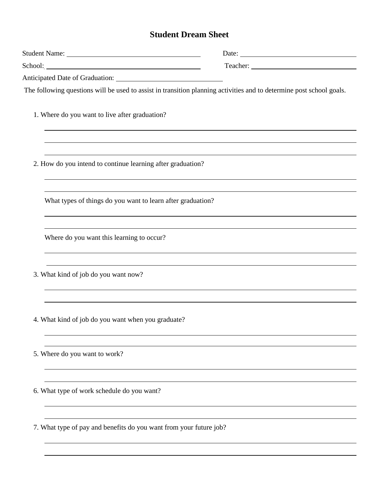## **Student Dream Sheet**

| The following questions will be used to assist in transition planning activities and to determine post school goals. |  |
|----------------------------------------------------------------------------------------------------------------------|--|
| 1. Where do you want to live after graduation?                                                                       |  |
|                                                                                                                      |  |
| 2. How do you intend to continue learning after graduation?                                                          |  |
|                                                                                                                      |  |
| What types of things do you want to learn after graduation?                                                          |  |
|                                                                                                                      |  |
| Where do you want this learning to occur?                                                                            |  |
|                                                                                                                      |  |
| 3. What kind of job do you want now?                                                                                 |  |
|                                                                                                                      |  |
| 4. What kind of job do you want when you graduate?                                                                   |  |
|                                                                                                                      |  |
| 5. Where do you want to work?                                                                                        |  |
|                                                                                                                      |  |
| 6. What type of work schedule do you want?                                                                           |  |
|                                                                                                                      |  |
| 7. What type of pay and benefits do you want from your future job?                                                   |  |
|                                                                                                                      |  |